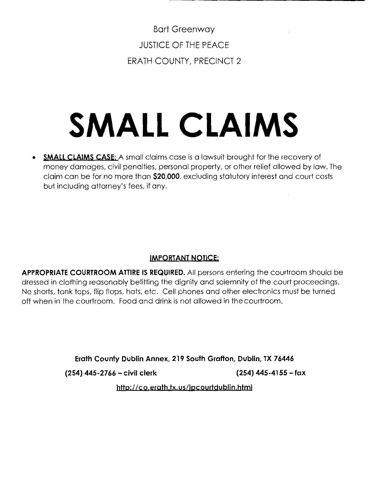Bart Greenway JUSTICE OF THE PEACE ERATH COUNTY, PRECINCT 2

# **SMALL CLAIMS**

• **SMALL CLAIMS CASE:** A small claims case is a lawsuit brought for the recovery of money damages, civil penalties, personal property, or other relief allowed by law. The claim can be for no more than **\$20,000,** excluding statutory interest and court costs but including attorney's fees, if any.

## **IMPORTANT NOTICE:**

**APPROPRIATE COURTROOM ATTIRE IS REQUIRED.** All persons entering the courtroom should be dressed in clothing reasonably befitting the dignity and solemnity of the court proceedings. No shorts, tank tops, flip flops, hats, etc. Cell phones and other electronics must be turned off when in the courtroom. Food and drink is not allowed in the courtroom.

**Erath County Dublin Annex, 219 South Grafton, Dublin, TX 76446** 

**(254) 445-2766 - civil clerk (254) 445-4155 - fax** 

**http://co.erath.tx.us/jpcourtdublin,html**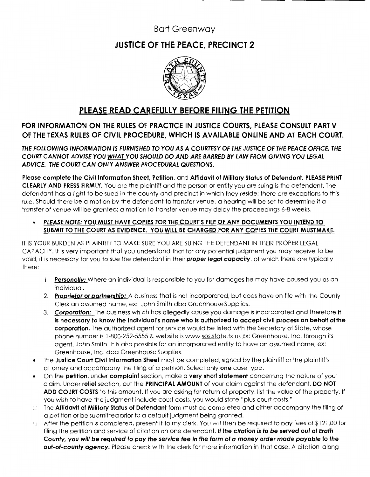## Bart Greenway

# **JUSTICE OF THE PEACE, PRECINCT 2**



## **PLEASE READ CAREFULLY BEFORE FILING THE PETITION**

## **FOR INFORMATION ON THE RULES OF PRACTICE IN JUSTICE COURTS, PLEASE CONSULT PART V OF THE TEXAS RULES OF CIVIL PROCEDURE, WHICH IS AVAILABLE ONLINE AND AT EACH COURT.**

**THE FOLLOWING INFORMATION IS FURNISHED TO YOU AS A COURTESY OF THE JUSTICE OF THE PEACE OFFICE. THE COURT CANNOT ADVISE YOU WHAT YOU SHOULD DO AND ARE BARRED BY LAW FROM GIVING YOU LEGAL ADVICE. THE COURT CAN ONLY ANSWER PROCEDURAL QUESTIONS.** 

**Please complete the Civil Information Sheet, Petition,** and **Affidavit of Military Status of Defendant. PLEASE PRINT CLEARLY AND PRESS FIRMLY.** You are the plaintiff and the person or entity you are suing is the defendant. The defendant has a right to be sued in the county and precinct in which they reside; there are exceptions to this rule. Should there be a motion by the defendant to transfer venue, a hearing will be set to determine if a transfer of venue will be granted; a motion to transfer venue may delay the proceedings 6-8 weeks.

## • **PLEASE NOTE: YOU MUST HAVE COPIES FOR THE COURT'S FILE OF ANY DOCUMENTS YOU INTEND TO**  SUBMIT TO THE COURT AS EVIDENCE. YOU WILL BE CHARGED FOR ANY COPIES THE COURT MUST MAKE.

IT IS YOUR BURDEN AS PLAINTIFF TO MAKE SURE YOU ARE SUING THE DEFENDANT IN THEIR PROPER LEGAL CAPACITY. It is very important that you understand that for any potential judgment you may receive to be valid, it is necessary for you to sue the defendant in their **proper legal capacity,** of which there are typically there:

- 1. **Personally:** Where an individual is responsible to you for damages he may have caused you as an individual.
- 2. **Proprietor or partnership:** A business that is not incorporated, but does have on file with the County Clerk an assumed name, ex: John Smith dba GreenhouseSupplies.
- 3. **Corporation:** The business which has allegedly cause you damage is incorporated and therefore **it is necessary to know the individual's name who is authorized to accept civil process on behalf of the corporation.** The authorized agent for service would be listed with the Secretary of State, whose phone number is 1-800-252-5555 & website is www.sos.state.tx.us Ex: Greenhouse, Inc. through its agent, John Smith. It is also possible for an incorporated entity to have an assumed name, ex: Greenhouse, Inc. dba Greenhouse Supplies.
- The **Justice Court Civil Information Sheet** must be completed, signed by the plaintiff or the plaintiff's attorney and accompany the filing of a petition. Select only **one** case type.
- On the **petition,** under **complaint** section, make a **very short statement** concerning the nature of your claim. Under **relief** section, put the **PRINCIPAL AMOUNT** of your claim against the defendant. **DO NOT ADD COURT COSTS** to this amount. If you are asking for return of property, list the value of the property. If you wish to have the judgment include court costs, you would state "plus court costs."
- The **Affidavit of Military Status of Defendant** form must be completed and either accompany the filing of  $\frac{1}{2}$ a petition or be submitted prior to a default judgment being granted.
- $\Box$  After the petition is completed, present it to my clerk. You will then be required to pay fees of \$121.00 for filing the petition and service of citation on one defendant. **If the citation is to be served out of Erath County, you will be required to pay the service fee in the form of a money order made payable to the out-of-county agency.** Please check with the clerk for more information in that case. A citation along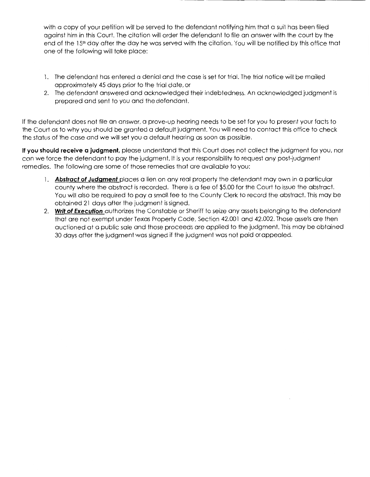with a copy of your petition will be served to the defendant notifying him that a suit has been filed against him in this Court. The citation will order the defendant to file an answer with the court by the end of the 15<sup>th</sup> day after the day he was served with the citation. You will be notified by this office that one of the following will take place:

- 1. The defendant has entered a denial and the case is set for trial. The trial notice will be mailed approximately 45 days prior to the trial date, or
- 2. The defendant answered and acknowledged their indebtedness. An acknowledged judgment is prepared and sent to you and the defendant.

If the defendant does not file an answer, a prove-up hearing needs to be set for you to present your facts to the Court as to why you should be granted a default judgment. You will need to contact this office to check the status of the case and we will set you a default hearing as soon as possible.

**If you should receive a judgment,** please understand that this Court does not collect the judgment for you, nor can we force the defendant to pay the judgment. It is your responsibility to request any post-judgment remedies. The following are some of those remedies that are available to you:

- 1. **Abstract of Judgment** places a lien on any real property the defendant may own in a particular county where the abstract is recorded. There is a fee of \$5.00 for the Court to issue the abstract. You will also be required to pay a small fee to the County Clerk to record the abstract. This may be obtained 21 days after the judgment is signed.
- 2. **Writ of Execution** authorizes the Constable or Sheriff to seize any assets belonging to the defendant that are not exempt under Texas Property Code, Section 42.001 and 42.002. Those assets are then auctioned at a public sale and those proceeds are applied to the judgment. This may be obtained 30 days after the judgment was signed if the judgment was not paid or appealed.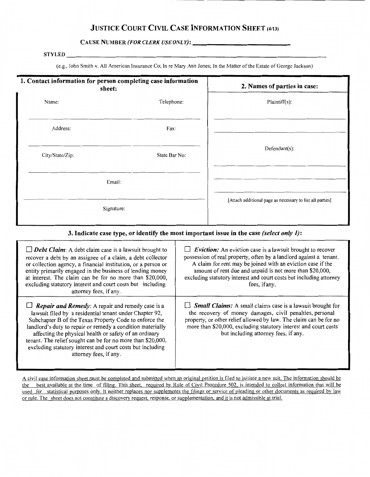## **JUSTICE COURT CIVIL CASE INFORMATION SHEET** (4113)

**CAUSE NUMBER (FOR CLERK USE ONLY):** 

#### **STYLED**

(e.g., John Smith v. All American Insurance Co; In re Mary Ann Jones; In the Matter of the Estate of George Jackson)

| 1. Contact information for person completing case information<br>sheet: |               | 2. Names of parties in case:                              |  |
|-------------------------------------------------------------------------|---------------|-----------------------------------------------------------|--|
| Name:                                                                   | Telephone:    | Plaintiff(s):                                             |  |
| Address:                                                                | Fax:          |                                                           |  |
| City/State/Zip:                                                         | State Bar No: | $Defendant(s)$ :                                          |  |
| Email:                                                                  |               |                                                           |  |
| Signature:                                                              |               | [Attach additional page as necessary to list all parties] |  |

## **3. Indicate case type, or identify the most important issue in the case** *(select only 1):*

| $\Box$ <b>Debt Claim</b> : A debt claim case is a lawsuit brought to<br>recover a debt by an assignee of a claim, a debt collector<br>or collection agency, a financial institution, or a person or<br>entity primarily engaged in the business of lending money<br>at interest. The claim can be for no more than \$20,000,<br>excluding statutory interest and court costs but including<br>attorney fees, if any.                                                | $\Box$ Eviction: An eviction case is a lawsuit brought to recover<br>possession of real property, often by a landlord against a tenant.<br>A claim for rent may be joined with an eviction case if the<br>amount of rent due and unpaid is not more than \$20,000,<br>excluding statutory interest and court costs but including attorney<br>fees, if any. |
|---------------------------------------------------------------------------------------------------------------------------------------------------------------------------------------------------------------------------------------------------------------------------------------------------------------------------------------------------------------------------------------------------------------------------------------------------------------------|------------------------------------------------------------------------------------------------------------------------------------------------------------------------------------------------------------------------------------------------------------------------------------------------------------------------------------------------------------|
| $\Box$ <b>Repair and Remedy</b> : A repair and remedy case is a<br>lawsuit filed by a residential tenant under Chapter 92,<br>Subchapter B of the Texas Property Code to enforce the<br>landlord's duty to repair or remedy a condition materially<br>affecting the physical health or safety of an ordinary<br>tenant. The relief sought can be for no more than \$20,000,<br>excluding statutory interest and court costs but including<br>attorney fees, if any. | $\Box$ <b>Small Claims:</b> A small claims case is a lawsuit brought for<br>the recovery of money damages, civil penalties, personal<br>property, or other relief allowed by law. The claim can be for no<br>more than \$20,000, excluding statutory interest and court costs<br>but including attorney fees, if any.                                      |

A civil case information sheet must be completed and submitted when an original petition is filed to initiate a new suit. The information should be the best available at the time of filing. This sheet, required by Rule of Civil Procedure 502, is intended to collect information that will be used for statistical purposes only. It neither replaces nor supplements the filings or service of pleading or other documents as required by law or rule. The sheet does not constitute a discovery request, response, or supplementation, and it is not admissible at trial.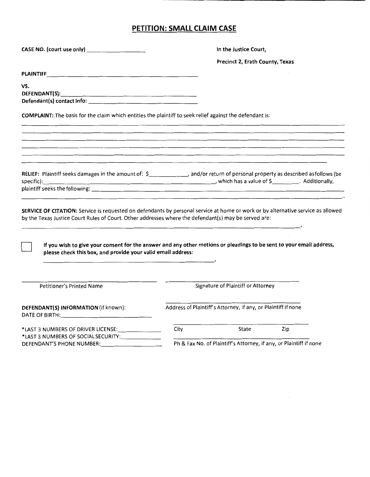# **PETITION: SMALL CLAIM CASE**

| CASE NO. (court use only) _______________________                                                                                                                                                                                                                                                                                                                                                                                | In the Justice Court, |                                                                    |     |  |
|----------------------------------------------------------------------------------------------------------------------------------------------------------------------------------------------------------------------------------------------------------------------------------------------------------------------------------------------------------------------------------------------------------------------------------|-----------------------|--------------------------------------------------------------------|-----|--|
|                                                                                                                                                                                                                                                                                                                                                                                                                                  |                       | Precinct 2, Erath County, Texas                                    |     |  |
|                                                                                                                                                                                                                                                                                                                                                                                                                                  |                       |                                                                    |     |  |
| VS.                                                                                                                                                                                                                                                                                                                                                                                                                              |                       |                                                                    |     |  |
|                                                                                                                                                                                                                                                                                                                                                                                                                                  |                       |                                                                    |     |  |
| COMPLAINT: The basis for the claim which entitles the plaintiff to seek relief against the defendant is:                                                                                                                                                                                                                                                                                                                         |                       |                                                                    |     |  |
|                                                                                                                                                                                                                                                                                                                                                                                                                                  |                       |                                                                    |     |  |
|                                                                                                                                                                                                                                                                                                                                                                                                                                  |                       |                                                                    |     |  |
| <u> 1980 - An Aonaichte an Dùbhlachadh ann an Chuid ann an Chuid ann an Chuid ann an Chuid ann an Chuid ann an Ch</u>                                                                                                                                                                                                                                                                                                            |                       |                                                                    |     |  |
| RELIEF: Plaintiff seeks damages in the amount of: \$______________, and/or return of personal property as described as follows (be<br>specific): Additionally,                                                                                                                                                                                                                                                                   |                       |                                                                    |     |  |
|                                                                                                                                                                                                                                                                                                                                                                                                                                  |                       |                                                                    |     |  |
| SERVICE OF CITATION: Service is requested on defendants by personal service at home or work or by alternative service as allowed<br>by the Texas Justice Court Rules of Court. Other addresses where the defendant(s) may be served are:<br>If you wish to give your consent for the answer and any other motions or pleadings to be sent to your email address,<br>please check this box, and provide your valid email address: |                       |                                                                    |     |  |
| Petitioner's Printed Name                                                                                                                                                                                                                                                                                                                                                                                                        |                       | Signature of Plaintiff or Attorney                                 |     |  |
| DEFENDANT(S) INFORMATION (if known):                                                                                                                                                                                                                                                                                                                                                                                             |                       | Address of Plaintiff's Attorney, if any, or Plaintiff if none      |     |  |
| *LAST 3 NUMBERS OF SOCIAL SECURITY:                                                                                                                                                                                                                                                                                                                                                                                              | City                  | State                                                              | Zip |  |
|                                                                                                                                                                                                                                                                                                                                                                                                                                  |                       | Ph & Fax No. of Plaintiff's Attorney, if any, or Plaintiff if none |     |  |